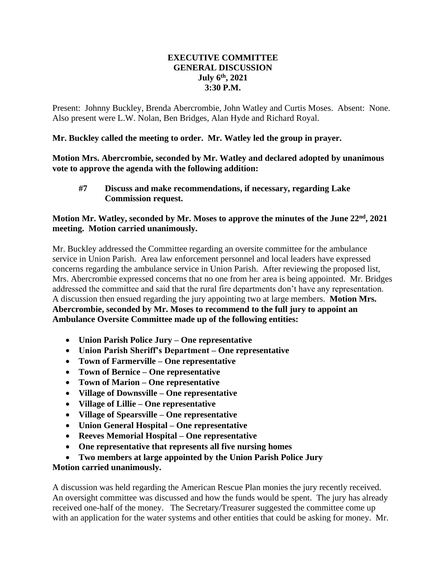## **EXECUTIVE COMMITTEE GENERAL DISCUSSION July 6th, 2021 3:30 P.M.**

Present: Johnny Buckley, Brenda Abercrombie, John Watley and Curtis Moses. Absent: None. Also present were L.W. Nolan, Ben Bridges, Alan Hyde and Richard Royal.

**Mr. Buckley called the meeting to order. Mr. Watley led the group in prayer.**

**Motion Mrs. Abercrombie, seconded by Mr. Watley and declared adopted by unanimous vote to approve the agenda with the following addition:**

**#7 Discuss and make recommendations, if necessary, regarding Lake Commission request.**

## **Motion Mr. Watley, seconded by Mr. Moses to approve the minutes of the June 22nd, 2021 meeting. Motion carried unanimously.**

Mr. Buckley addressed the Committee regarding an oversite committee for the ambulance service in Union Parish. Area law enforcement personnel and local leaders have expressed concerns regarding the ambulance service in Union Parish. After reviewing the proposed list, Mrs. Abercrombie expressed concerns that no one from her area is being appointed. Mr. Bridges addressed the committee and said that the rural fire departments don't have any representation. A discussion then ensued regarding the jury appointing two at large members. **Motion Mrs. Abercrombie, seconded by Mr. Moses to recommend to the full jury to appoint an Ambulance Oversite Committee made up of the following entities:**

- **Union Parish Police Jury – One representative**
- **Union Parish Sheriff's Department – One representative**
- **Town of Farmerville – One representative**
- **Town of Bernice – One representative**
- **Town of Marion – One representative**
- **Village of Downsville – One representative**
- **Village of Lillie – One representative**
- **Village of Spearsville – One representative**
- **Union General Hospital – One representative**
- **Reeves Memorial Hospital – One representative**
- **One representative that represents all five nursing homes**
- **Two members at large appointed by the Union Parish Police Jury**

## **Motion carried unanimously.**

A discussion was held regarding the American Rescue Plan monies the jury recently received. An oversight committee was discussed and how the funds would be spent. The jury has already received one-half of the money. The Secretary/Treasurer suggested the committee come up with an application for the water systems and other entities that could be asking for money. Mr.